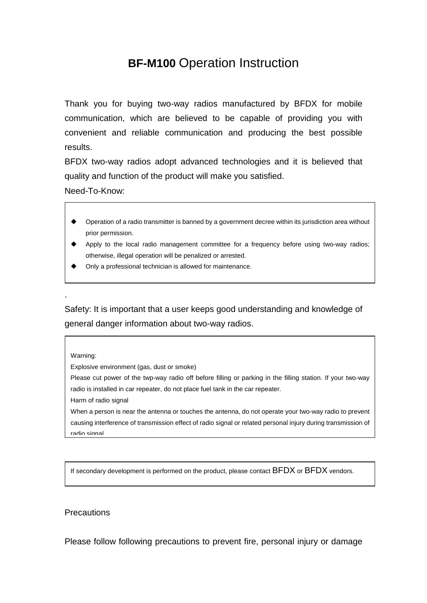# **BF-M100** Operation Instruction

Thank you for buying two-way radios manufactured by BFDX for mobile communication, which are believed to be capable of providing you with convenient and reliable communication and producing the best possible results.

BFDX two-way radios adopt advanced technologies and it is believed that quality and function of the product will make you satisfied.

Need-To-Know:

- Operation of a radio transmitter is banned by a government decree within its jurisdiction area without prior permission.
- Apply to the local radio management committee for a frequency before using two-way radios; otherwise, illegal operation will be penalized or arrested.
- Only a professional technician is allowed for maintenance.

Safety: It is important that a user keeps good understanding and knowledge of general danger information about two-way radios.

Warning:

.

Explosive environment (gas, dust or smoke)

Please cut power of the twp-way radio off before filling or parking in the filling station. If your two-way radio is installed in car repeater, do not place fuel tank in the car repeater.

Harm of radio signal

When a person is near the antenna or touches the antenna, do not operate your two-way radio to prevent causing interference of transmission effect of radio signal or related personal injury during transmission of radio signal

If secondary development is performed on the product, please contact BFDX or BFDX vendors.

#### **Precautions**

Please follow following precautions to prevent fire, personal injury or damage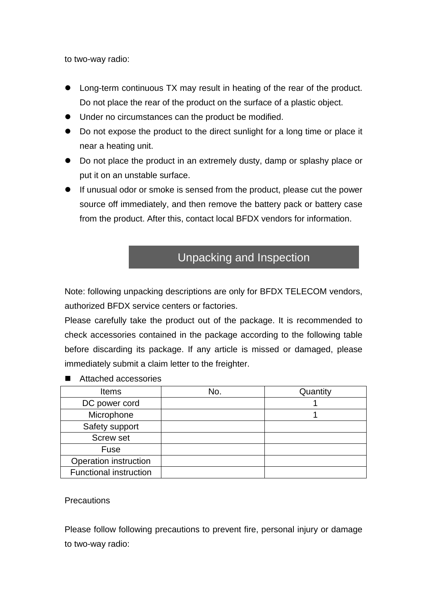to two-way radio:

- Long-term continuous TX may result in heating of the rear of the product. Do not place the rear of the product on the surface of a plastic object.
- $\bullet$  Under no circumstances can the product be modified.
- Do not expose the product to the direct sunlight for a long time or place it near a heating unit.
- Do not place the product in an extremely dusty, damp or splashy place or put it on an unstable surface.
- **If unusual odor or smoke is sensed from the product, please cut the power** source off immediately, and then remove the battery pack or battery case from the product. After this, contact local BFDX vendors for information.

# Unpacking and Inspection

Note: following unpacking descriptions are only for BFDX TELECOM vendors, authorized BFDX service centers or factories.

Please carefully take the product out of the package. It is recommended to check accessories contained in the package according to the following table before discarding its package. If any article is missed or damaged, please immediately submit a claim letter to the freighter.

- Items | No. | Quantity DC power cord 1 Microphone 1 and 1 Safety support Screw set Fuse Operation instruction Functional instruction
- Attached accessories

**Precautions** 

Please follow following precautions to prevent fire, personal injury or damage to two-way radio: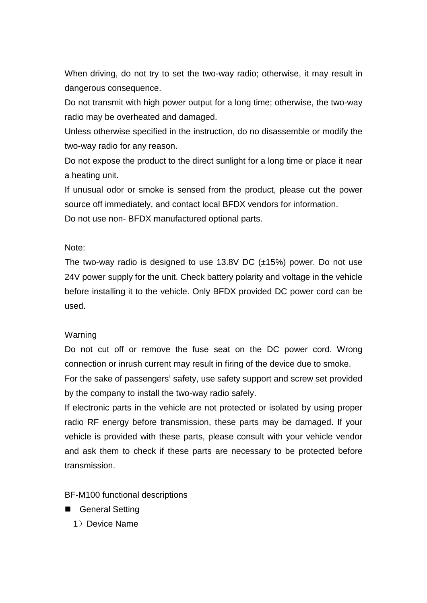When driving, do not try to set the two-way radio; otherwise, it may result in dangerous consequence.

Do not transmit with high power output for a long time; otherwise, the two-way radio may be overheated and damaged.

Unless otherwise specified in the instruction, do no disassemble or modify the two-way radio for any reason.

Do not expose the product to the direct sunlight for a long time or place it near a heating unit.

If unusual odor or smoke is sensed from the product, please cut the power source off immediately, and contact local BFDX vendors for information. Do not use non- BFDX manufactured optional parts.

#### Note:

The two-way radio is designed to use 13.8V DC (±15%) power. Do not use 24V power supply for the unit. Check battery polarity and voltage in the vehicle before installing it to the vehicle. Only BFDX provided DC power cord can be used.

#### **Warning**

Do not cut off or remove the fuse seat on the DC power cord. Wrong connection or inrush current may result in firing of the device due to smoke.

For the sake of passengers' safety, use safety support and screw set provided by the company to install the two-way radio safely.

If electronic parts in the vehicle are not protected or isolated by using proper radio RF energy before transmission, these parts may be damaged. If your vehicle is provided with these parts, please consult with your vehicle vendor and ask them to check if these parts are necessary to be protected before transmission.

BF-M100 functional descriptions

- General Setting
	- 1) Device Name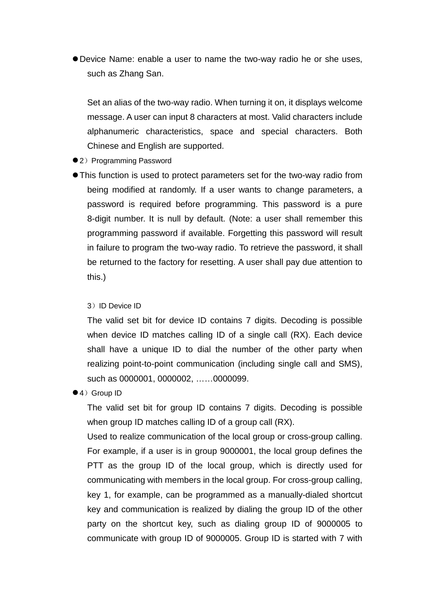• Device Name: enable a user to name the two-way radio he or she uses, such as Zhang San.

Set an alias of the two-way radio. When turning it on, it displays welcome message. A user can input 8 characters at most. Valid characters include alphanumeric characteristics, space and special characters. Both Chinese and English are supported.

- 2) Programming Password
- This function is used to protect parameters set for the two-way radio from being modified at randomly. If a user wants to change parameters, a password is required before programming. This password is a pure 8-digit number. It is null by default. (Note: a user shall remember this programming password if available. Forgetting this password will result in failure to program the two-way radio. To retrieve the password, it shall be returned to the factory for resetting. A user shall pay due attention to this.)

3)ID Device ID

The valid set bit for device ID contains 7 digits. Decoding is possible when device ID matches calling ID of a single call (RX). Each device shall have a unique ID to dial the number of the other party when realizing point-to-point communication (including single call and SMS), such as 0000001, 0000002, ……0000099.

●4) Group ID

The valid set bit for group ID contains 7 digits. Decoding is possible when group ID matches calling ID of a group call (RX).

Used to realize communication of the local group or cross-group calling. For example, if a user is in group 9000001, the local group defines the PTT as the group ID of the local group, which is directly used for communicating with members in the local group. For cross-group calling, key 1, for example, can be programmed as a manually-dialed shortcut key and communication is realized by dialing the group ID of the other party on the shortcut key, such as dialing group ID of 9000005 to communicate with group ID of 9000005. Group ID is started with 7 with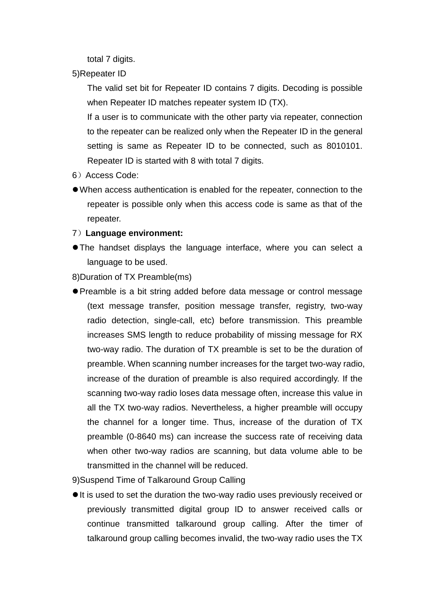total 7 digits.

5)Repeater ID

The valid set bit for Repeater ID contains 7 digits. Decoding is possible when Repeater ID matches repeater system ID (TX).

If a user is to communicate with the other party via repeater, connection to the repeater can be realized only when the Repeater ID in the general setting is same as Repeater ID to be connected, such as 8010101. Repeater ID is started with 8 with total 7 digits.

- 6)Access Code:
- When access authentication is enabled for the repeater, connection to the repeater is possible only when this access code is same as that of the repeater.

#### 7)**Language environment:**

• The handset displays the language interface, where you can select a language to be used.

8)Duration of TX Preamble(ms)

• Preamble is a bit string added before data message or control message (text message transfer, position message transfer, registry, two-way radio detection, single-call, etc) before transmission. This preamble increases SMS length to reduce probability of missing message for RX two-way radio. The duration of TX preamble is set to be the duration of preamble. When scanning number increases for the target two-way radio, increase of the duration of preamble is also required accordingly. If the scanning two-way radio loses data message often, increase this value in all the TX two-way radios. Nevertheless, a higher preamble will occupy the channel for a longer time. Thus, increase of the duration of TX preamble (0-8640 ms) can increase the success rate of receiving data when other two-way radios are scanning, but data volume able to be transmitted in the channel will be reduced.

9)Suspend Time of Talkaround Group Calling

If is used to set the duration the two-way radio uses previously received or previously transmitted digital group ID to answer received calls or continue transmitted talkaround group calling. After the timer of talkaround group calling becomes invalid, the two-way radio uses the TX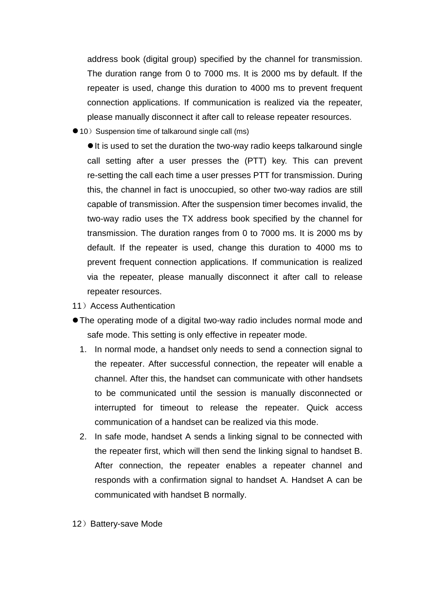address book (digital group) specified by the channel for transmission. The duration range from 0 to 7000 ms. It is 2000 ms by default. If the repeater is used, change this duration to 4000 ms to prevent frequent connection applications. If communication is realized via the repeater, please manually disconnect it after call to release repeater resources.

● 10) Suspension time of talkaround single call (ms)

 $\bullet$  It is used to set the duration the two-way radio keeps talkaround single call setting after a user presses the (PTT) key. This can prevent re-setting the call each time a user presses PTT for transmission. During this, the channel in fact is unoccupied, so other two-way radios are still capable of transmission. After the suspension timer becomes invalid, the two-way radio uses the TX address book specified by the channel for transmission. The duration ranges from 0 to 7000 ms. It is 2000 ms by default. If the repeater is used, change this duration to 4000 ms to prevent frequent connection applications. If communication is realized via the repeater, please manually disconnect it after call to release repeater resources.

- 11) Access Authentication
- The operating mode of a digital two-way radio includes normal mode and safe mode. This setting is only effective in repeater mode.
	- 1. In normal mode, a handset only needs to send a connection signal to the repeater. After successful connection, the repeater will enable a channel. After this, the handset can communicate with other handsets to be communicated until the session is manually disconnected or interrupted for timeout to release the repeater. Quick access communication of a handset can be realized via this mode.
	- 2. In safe mode, handset A sends a linking signal to be connected with the repeater first, which will then send the linking signal to handset B. After connection, the repeater enables a repeater channel and responds with a confirmation signal to handset A. Handset A can be communicated with handset B normally.
- 12) Battery-save Mode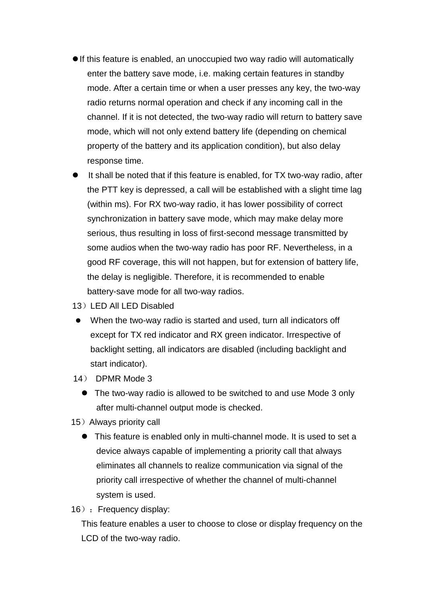- $\bullet$  If this feature is enabled, an unoccupied two way radio will automatically enter the battery save mode, i.e. making certain features in standby mode. After a certain time or when a user presses any key, the two-way radio returns normal operation and check if any incoming call in the channel. If it is not detected, the two-way radio will return to battery save mode, which will not only extend battery life (depending on chemical property of the battery and its application condition), but also delay response time.
- It shall be noted that if this feature is enabled, for TX two-way radio, after the PTT key is depressed, a call will be established with a slight time lag (within ms). For RX two-way radio, it has lower possibility of correct synchronization in battery save mode, which may make delay more serious, thus resulting in loss of first-second message transmitted by some audios when the two-way radio has poor RF. Nevertheless, in a good RF coverage, this will not happen, but for extension of battery life, the delay is negligible. Therefore, it is recommended to enable battery-save mode for all two-way radios.
- 13) LED All LED Disabled
- When the two-way radio is started and used, turn all indicators off except for TX red indicator and RX green indicator. Irrespective of backlight setting, all indicators are disabled (including backlight and start indicator).
- 14) DPMR Mode 3
	- The two-way radio is allowed to be switched to and use Mode 3 only after multi-channel output mode is checked.
- 15) Always priority call
	- This feature is enabled only in multi-channel mode. It is used to set a device always capable of implementing a priority call that always eliminates all channels to realize communication via signal of the priority call irrespective of whether the channel of multi-channel system is used.
- 16) : Frequency display:

This feature enables a user to choose to close or display frequency on the LCD of the two-way radio.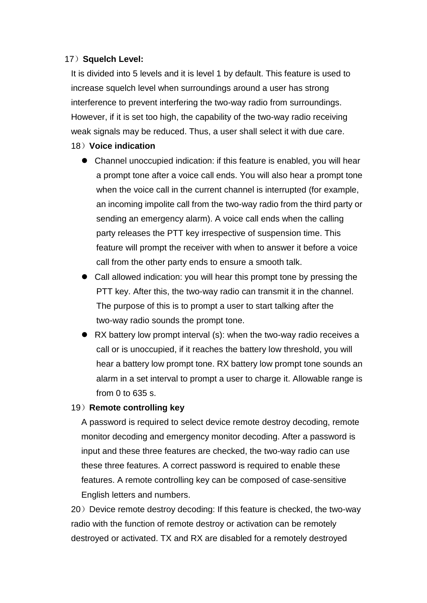#### 17)**Squelch Level:**

It is divided into 5 levels and it is level 1 by default. This feature is used to increase squelch level when surroundings around a user has strong interference to prevent interfering the two-way radio from surroundings. However, if it is set too high, the capability of the two-way radio receiving weak signals may be reduced. Thus, a user shall select it with due care.

#### 18)**Voice indication**

- Channel unoccupied indication: if this feature is enabled, you will hear a prompt tone after a voice call ends. You will also hear a prompt tone when the voice call in the current channel is interrupted (for example, an incoming impolite call from the two-way radio from the third party or sending an emergency alarm). A voice call ends when the calling party releases the PTT key irrespective of suspension time. This feature will prompt the receiver with when to answer it before a voice call from the other party ends to ensure a smooth talk.
- Call allowed indication: you will hear this prompt tone by pressing the PTT key. After this, the two-way radio can transmit it in the channel. The purpose of this is to prompt a user to start talking after the two-way radio sounds the prompt tone.
- $\bullet$  RX battery low prompt interval (s): when the two-way radio receives a call or is unoccupied, if it reaches the battery low threshold, you will hear a battery low prompt tone. RX battery low prompt tone sounds an alarm in a set interval to prompt a user to charge it. Allowable range is from 0 to 635 s.

#### 19)**Remote controlling key**

A password is required to select device remote destroy decoding, remote monitor decoding and emergency monitor decoding. After a password is input and these three features are checked, the two-way radio can use these three features. A correct password is required to enable these features. A remote controlling key can be composed of case-sensitive English letters and numbers.

20) Device remote destroy decoding: If this feature is checked, the two-way radio with the function of remote destroy or activation can be remotely destroyed or activated. TX and RX are disabled for a remotely destroyed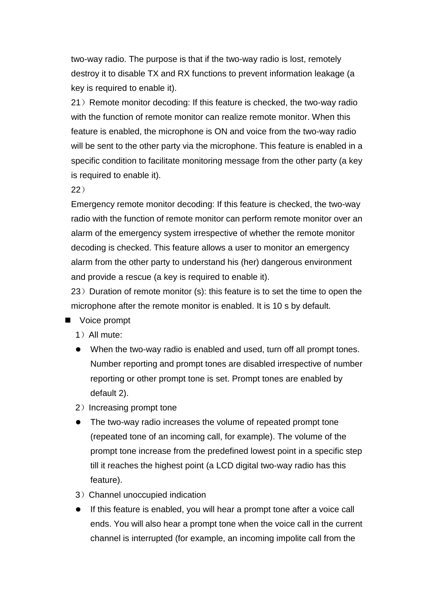two-way radio. The purpose is that if the two-way radio is lost, remotely destroy it to disable TX and RX functions to prevent information leakage (a key is required to enable it).

21) Remote monitor decoding: If this feature is checked, the two-way radio with the function of remote monitor can realize remote monitor. When this feature is enabled, the microphone is ON and voice from the two-way radio will be sent to the other party via the microphone. This feature is enabled in a specific condition to facilitate monitoring message from the other party (a key is required to enable it).

22)

Emergency remote monitor decoding: If this feature is checked, the two-way radio with the function of remote monitor can perform remote monitor over an alarm of the emergency system irrespective of whether the remote monitor decoding is checked. This feature allows a user to monitor an emergency alarm from the other party to understand his (her) dangerous environment and provide a rescue (a key is required to enable it).

 $23$ ) Duration of remote monitor (s): this feature is to set the time to open the microphone after the remote monitor is enabled. It is 10 s by default.

- Voice prompt
	- 1)All mute:
	- When the two-way radio is enabled and used, turn off all prompt tones. Number reporting and prompt tones are disabled irrespective of number reporting or other prompt tone is set. Prompt tones are enabled by default 2).
	- 2) Increasing prompt tone
	- The two-way radio increases the volume of repeated prompt tone (repeated tone of an incoming call, for example). The volume of the prompt tone increase from the predefined lowest point in a specific step till it reaches the highest point (a LCD digital two-way radio has this feature).
	- 3)Channel unoccupied indication
	- **•** If this feature is enabled, you will hear a prompt tone after a voice call ends. You will also hear a prompt tone when the voice call in the current channel is interrupted (for example, an incoming impolite call from the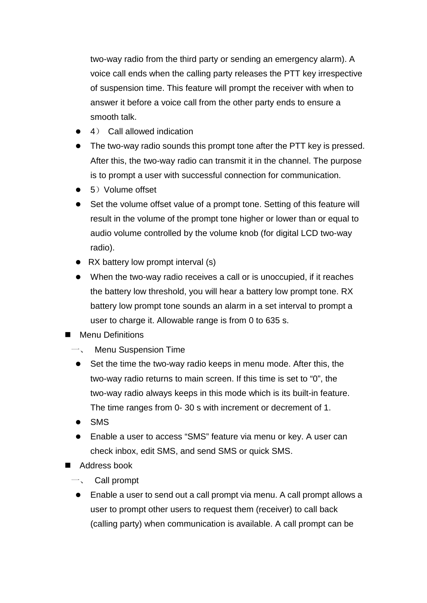two-way radio from the third party or sending an emergency alarm). A voice call ends when the calling party releases the PTT key irrespective of suspension time. This feature will prompt the receiver with when to answer it before a voice call from the other party ends to ensure a smooth talk.

- $\bullet$  4) Call allowed indication
- The two-way radio sounds this prompt tone after the PTT key is pressed. After this, the two-way radio can transmit it in the channel. The purpose is to prompt a user with successful connection for communication.
- $\bullet$  5) Volume offset
- Set the volume offset value of a prompt tone. Setting of this feature will result in the volume of the prompt tone higher or lower than or equal to audio volume controlled by the volume knob (for digital LCD two-way radio).
- $\bullet$  RX battery low prompt interval (s)
- When the two-way radio receives a call or is unoccupied, if it reaches the battery low threshold, you will hear a battery low prompt tone. RX battery low prompt tone sounds an alarm in a set interval to prompt a user to charge it. Allowable range is from 0 to 635 s.
- **n** Menu Definitions
	- Menu Suspension Time
	- $\bullet$  Set the time the two-way radio keeps in menu mode. After this, the two-way radio returns to main screen. If this time is set to "0", the two-way radio always keeps in this mode which is its built-in feature. The time ranges from 0- 30 s with increment or decrement of 1.
	- $\bullet$  SMS
	- l Enable a user to access "SMS" feature via menu or key. A user can check inbox, edit SMS, and send SMS or quick SMS.
- Address book
	- Call prompt
	- Enable a user to send out a call prompt via menu. A call prompt allows a user to prompt other users to request them (receiver) to call back (calling party) when communication is available. A call prompt can be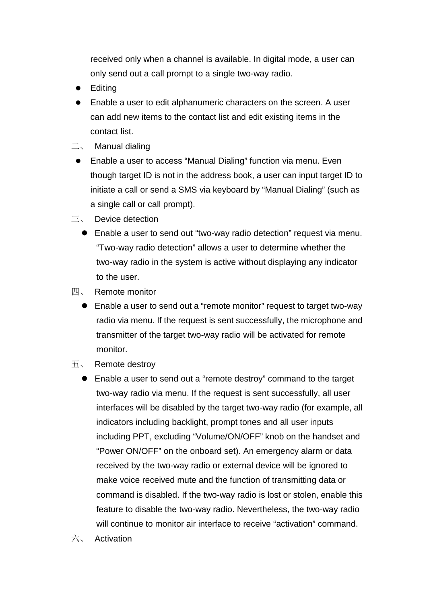received only when a channel is available. In digital mode, a user can only send out a call prompt to a single two-way radio.

- $\bullet$  Editing
- Enable a user to edit alphanumeric characters on the screen. A user can add new items to the contact list and edit existing items in the contact list.
- $\equiv$ , Manual dialing
- Enable a user to access "Manual Dialing" function via menu. Even though target ID is not in the address book, a user can input target ID to initiate a call or send a SMS via keyboard by "Manual Dialing" (such as a single call or call prompt).
- 三、 Device detection
	- Enable a user to send out "two-way radio detection" request via menu. "Two-way radio detection" allows a user to determine whether the two-way radio in the system is active without displaying any indicator to the user.
- 四、 Remote monitor
	- Enable a user to send out a "remote monitor" request to target two-way radio via menu. If the request is sent successfully, the microphone and transmitter of the target two-way radio will be activated for remote monitor.
- 五、 Remote destroy
	- Enable a user to send out a "remote destroy" command to the target two-way radio via menu. If the request is sent successfully, all user interfaces will be disabled by the target two-way radio (for example, all indicators including backlight, prompt tones and all user inputs including PPT, excluding "Volume/ON/OFF" knob on the handset and "Power ON/OFF" on the onboard set). An emergency alarm or data received by the two-way radio or external device will be ignored to make voice received mute and the function of transmitting data or command is disabled. If the two-way radio is lost or stolen, enable this feature to disable the two-way radio. Nevertheless, the two-way radio will continue to monitor air interface to receive "activation" command.
- 六、 Activation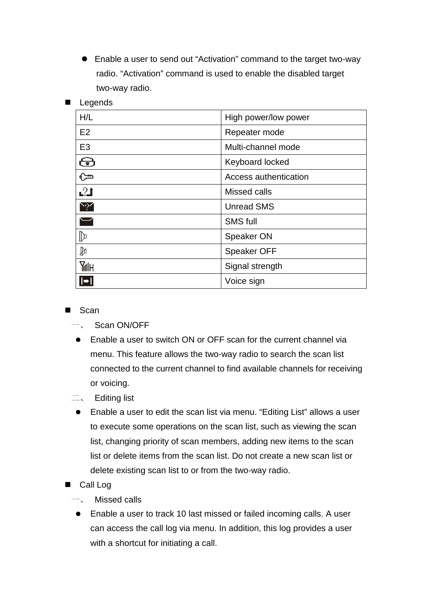• Enable a user to send out "Activation" command to the target two-way radio. "Activation" command is used to enable the disabled target two-way radio.

| H/L                      | High power/low power  |
|--------------------------|-----------------------|
| E2                       | Repeater mode         |
| E <sub>3</sub>           | Multi-channel mode    |
| ⊕                        | Keyboard locked       |
| $\mathbb{G}$             | Access authentication |
| 21                       | Missed calls          |
| $\sim$ ? $\prime$        | <b>Unread SMS</b>     |
| $\overline{\phantom{0}}$ | <b>SMS full</b>       |
| ╟                        | Speaker ON            |
| ₽                        | <b>Speaker OFF</b>    |
| Milh                     | Signal strength       |
|                          | Voice sign            |

# **Legends**

#### $Scan$

- Scan ON/OFF
- Enable a user to switch ON or OFF scan for the current channel via menu. This feature allows the two-way radio to search the scan list connected to the current channel to find available channels for receiving or voicing.
- 二、 Editing list
- Enable a user to edit the scan list via menu. "Editing List" allows a user to execute some operations on the scan list, such as viewing the scan list, changing priority of scan members, adding new items to the scan list or delete items from the scan list. Do not create a new scan list or delete existing scan list to or from the two-way radio.
- Call Log
	- 一、 Missed calls
	- Enable a user to track 10 last missed or failed incoming calls. A user can access the call log via menu. In addition, this log provides a user with a shortcut for initiating a call.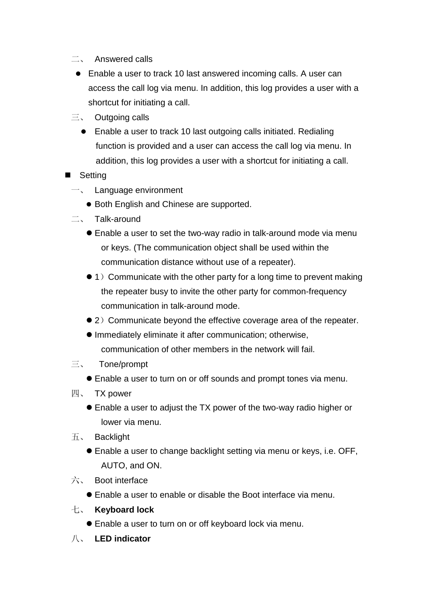- 二、 Answered calls
- Enable a user to track 10 last answered incoming calls. A user can access the call log via menu. In addition, this log provides a user with a shortcut for initiating a call.
- $\equiv$  Outgoing calls
	- Enable a user to track 10 last outgoing calls initiated. Redialing function is provided and a user can access the call log via menu. In addition, this log provides a user with a shortcut for initiating a call.
- **I** Setting
	- $\overline{-}$ , Language environment
		- **Both English and Chinese are supported.**
	- 二、 Talk-around
		- Enable a user to set the two-way radio in talk-around mode via menu or keys. (The communication object shall be used within the communication distance without use of a repeater).
		- $\bullet$  1) Communicate with the other party for a long time to prevent making the repeater busy to invite the other party for common-frequency communication in talk-around mode.
		- 2) Communicate beyond the effective coverage area of the repeater.
		- **Immediately eliminate it after communication; otherwise,** communication of other members in the network will fail.
	- 三、 Tone/prompt
		- Enable a user to turn on or off sounds and prompt tones via menu.
	- 四、 TX power
		- Enable a user to adjust the TX power of the two-way radio higher or lower via menu.
	- 五、 Backlight
		- Enable a user to change backlight setting via menu or keys, i.e. OFF, AUTO, and ON.
	- 六、 Boot interface
		- **Enable a user to enable or disable the Boot interface via menu.**
	- 七、 **Keyboard lock**
		- l Enable a user to turn on or off keyboard lock via menu.
	- 八、 **LED indicator**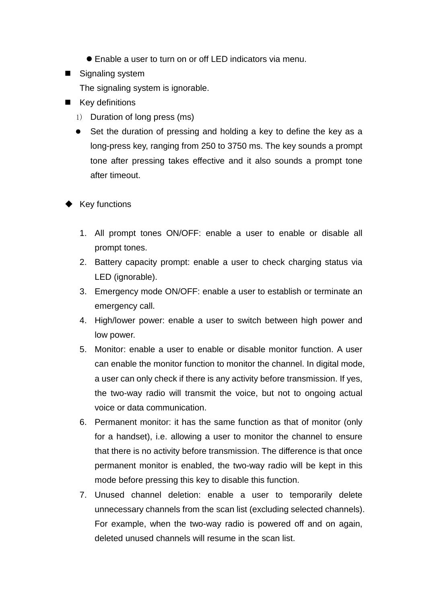- Enable a user to turn on or off LED indicators via menu.
- Signaling system

The signaling system is ignorable.

- **Key definitions** 
	- 1) Duration of long press (ms)
	- Set the duration of pressing and holding a key to define the key as a long-press key, ranging from 250 to 3750 ms. The key sounds a prompt tone after pressing takes effective and it also sounds a prompt tone after timeout.
- Key functions
	- 1. All prompt tones ON/OFF: enable a user to enable or disable all prompt tones.
	- 2. Battery capacity prompt: enable a user to check charging status via LED (ignorable).
	- 3. Emergency mode ON/OFF: enable a user to establish or terminate an emergency call.
	- 4. High/lower power: enable a user to switch between high power and low power.
	- 5. Monitor: enable a user to enable or disable monitor function. A user can enable the monitor function to monitor the channel. In digital mode, a user can only check if there is any activity before transmission. If yes, the two-way radio will transmit the voice, but not to ongoing actual voice or data communication.
	- 6. Permanent monitor: it has the same function as that of monitor (only for a handset), i.e. allowing a user to monitor the channel to ensure that there is no activity before transmission. The difference is that once permanent monitor is enabled, the two-way radio will be kept in this mode before pressing this key to disable this function.
	- 7. Unused channel deletion: enable a user to temporarily delete unnecessary channels from the scan list (excluding selected channels). For example, when the two-way radio is powered off and on again, deleted unused channels will resume in the scan list.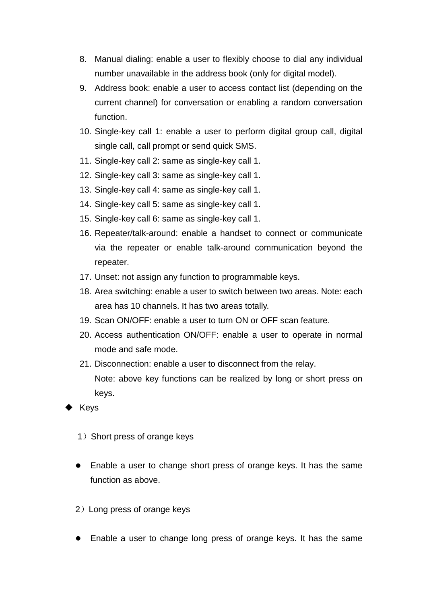- 8. Manual dialing: enable a user to flexibly choose to dial any individual number unavailable in the address book (only for digital model).
- 9. Address book: enable a user to access contact list (depending on the current channel) for conversation or enabling a random conversation function.
- 10. Single-key call 1: enable a user to perform digital group call, digital single call, call prompt or send quick SMS.
- 11. Single-key call 2: same as single-key call 1.
- 12. Single-key call 3: same as single-key call 1.
- 13. Single-key call 4: same as single-key call 1.
- 14. Single-key call 5: same as single-key call 1.
- 15. Single-key call 6: same as single-key call 1.
- 16. Repeater/talk-around: enable a handset to connect or communicate via the repeater or enable talk-around communication beyond the repeater.
- 17. Unset: not assign any function to programmable keys.
- 18. Area switching: enable a user to switch between two areas. Note: each area has 10 channels. It has two areas totally.
- 19. Scan ON/OFF: enable a user to turn ON or OFF scan feature.
- 20. Access authentication ON/OFF: enable a user to operate in normal mode and safe mode.
- 21. Disconnection: enable a user to disconnect from the relay. Note: above key functions can be realized by long or short press on keys.
- Keys
	- 1) Short press of orange keys
	- Enable a user to change short press of orange keys. It has the same function as above.
	- 2)Long press of orange keys
	- Enable a user to change long press of orange keys. It has the same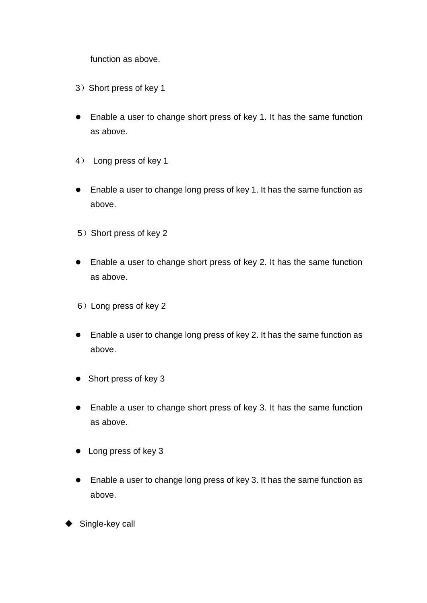function as above.

- 3) Short press of key 1
- Enable a user to change short press of key 1. It has the same function as above.
- 4) Long press of key 1
- Enable a user to change long press of key 1. It has the same function as above.
- 5) Short press of key 2
- $\bullet$  Enable a user to change short press of key 2. It has the same function as above.
- 6)Long press of key 2
- $\bullet$  Enable a user to change long press of key 2. It has the same function as above.
- Short press of key 3
- Enable a user to change short press of key 3. It has the same function as above.
- $\bullet$  Long press of key 3
- Enable a user to change long press of key 3. It has the same function as above.
- Single-key call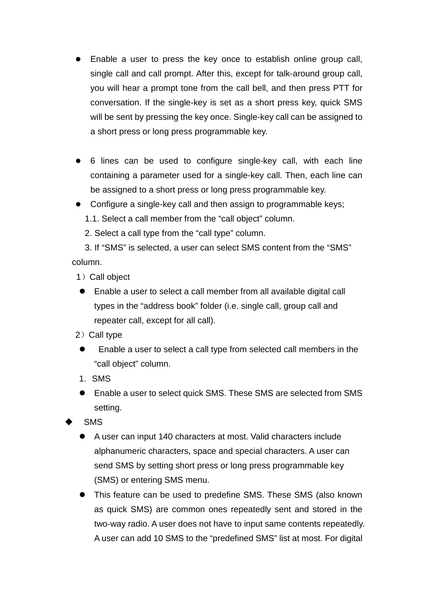- Enable a user to press the key once to establish online group call, single call and call prompt. After this, except for talk-around group call, you will hear a prompt tone from the call bell, and then press PTT for conversation. If the single-key is set as a short press key, quick SMS will be sent by pressing the key once. Single-key call can be assigned to a short press or long press programmable key.
- 6 lines can be used to configure single-key call, with each line containing a parameter used for a single-key call. Then, each line can be assigned to a short press or long press programmable key.
- Configure a single-key call and then assign to programmable keys;
	- 1.1. Select a call member from the "call object" column.
	- 2. Select a call type from the "call type" column.

3. If "SMS" is selected, a user can select SMS content from the "SMS" column.

- 1) Call object
- Enable a user to select a call member from all available digital call types in the "address book" folder (i.e. single call, group call and repeater call, except for all call).
- 2) Call type
- l Enable a user to select a call type from selected call members in the "call object" column.
- 1. SMS
- Enable a user to select quick SMS. These SMS are selected from SMS setting.
- **SMS** 
	- A user can input 140 characters at most. Valid characters include alphanumeric characters, space and special characters. A user can send SMS by setting short press or long press programmable key (SMS) or entering SMS menu.
	- This feature can be used to predefine SMS. These SMS (also known as quick SMS) are common ones repeatedly sent and stored in the two-way radio. A user does not have to input same contents repeatedly. A user can add 10 SMS to the "predefined SMS" list at most. For digital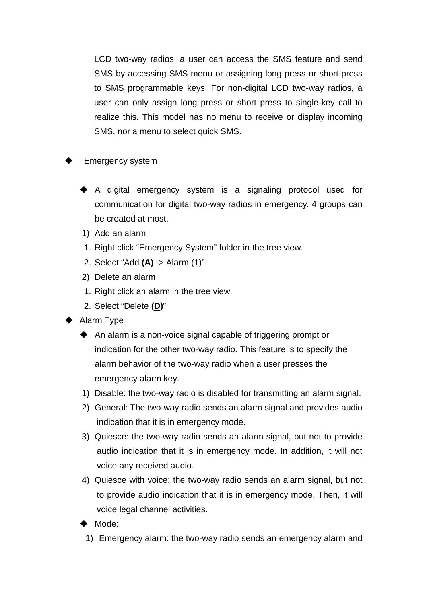LCD two-way radios, a user can access the SMS feature and send SMS by accessing SMS menu or assigning long press or short press to SMS programmable keys. For non-digital LCD two-way radios, a user can only assign long press or short press to single-key call to realize this. This model has no menu to receive or display incoming SMS, nor a menu to select quick SMS.

- Emergency system
	- $\blacklozenge$  A digital emergency system is a signaling protocol used for communication for digital two-way radios in emergency. 4 groups can be created at most.
	- 1) Add an alarm
	- 1. Right click "Emergency System" folder in the tree view.
	- 2. Select "Add **(A)** -> Alarm (1)"
	- 2) Delete an alarm
	- 1. Right click an alarm in the tree view.
	- 2. Select "Delete **(D)**"
- Alarm Type
	- $\triangle$  An alarm is a non-voice signal capable of triggering prompt or indication for the other two-way radio. This feature is to specify the alarm behavior of the two-way radio when a user presses the emergency alarm key.
	- 1) Disable: the two-way radio is disabled for transmitting an alarm signal.
	- 2) General: The two-way radio sends an alarm signal and provides audio indication that it is in emergency mode.
	- 3) Quiesce: the two-way radio sends an alarm signal, but not to provide audio indication that it is in emergency mode. In addition, it will not voice any received audio.
	- 4) Quiesce with voice: the two-way radio sends an alarm signal, but not to provide audio indication that it is in emergency mode. Then, it will voice legal channel activities.
	- Mode:
	- 1) Emergency alarm: the two-way radio sends an emergency alarm and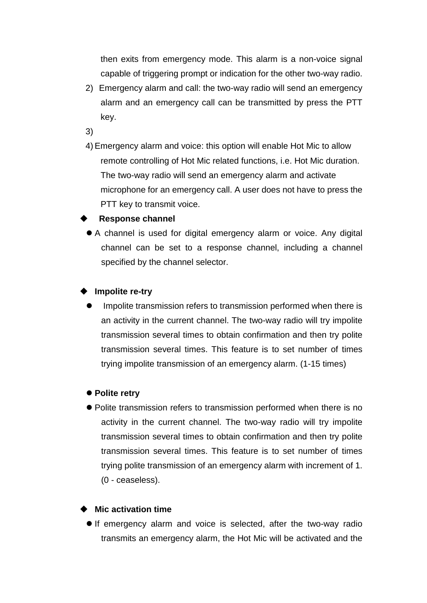then exits from emergency mode. This alarm is a non-voice signal capable of triggering prompt or indication for the other two-way radio.

2) Emergency alarm and call: the two-way radio will send an emergency alarm and an emergency call can be transmitted by press the PTT key.

3)

4) Emergency alarm and voice: this option will enable Hot Mic to allow remote controlling of Hot Mic related functions, i.e. Hot Mic duration. The two-way radio will send an emergency alarm and activate microphone for an emergency call. A user does not have to press the PTT key to transmit voice.

# u **Response channel**

• A channel is used for digital emergency alarm or voice. Any digital channel can be set to a response channel, including a channel specified by the channel selector.

#### **Impolite re-try**

l Impolite transmission refers to transmission performed when there is an activity in the current channel. The two-way radio will try impolite transmission several times to obtain confirmation and then try polite transmission several times. This feature is to set number of times trying impolite transmission of an emergency alarm. (1-15 times)

#### ● Polite retry

• Polite transmission refers to transmission performed when there is no activity in the current channel. The two-way radio will try impolite transmission several times to obtain confirmation and then try polite transmission several times. This feature is to set number of times trying polite transmission of an emergency alarm with increment of 1. (0 - ceaseless).

#### **Mic activation time**

**If emergency alarm and voice is selected, after the two-way radio** transmits an emergency alarm, the Hot Mic will be activated and the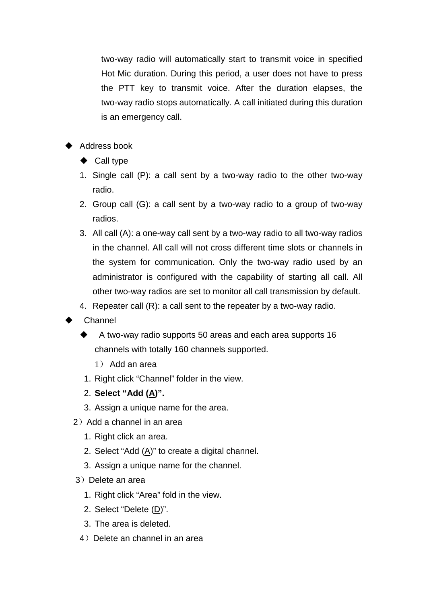two-way radio will automatically start to transmit voice in specified Hot Mic duration. During this period, a user does not have to press the PTT key to transmit voice. After the duration elapses, the two-way radio stops automatically. A call initiated during this duration is an emergency call.

- Address book
	- $\blacklozenge$  Call type
	- 1. Single call (P): a call sent by a two-way radio to the other two-way radio.
	- 2. Group call (G): a call sent by a two-way radio to a group of two-way radios.
	- 3. All call (A): a one-way call sent by a two-way radio to all two-way radios in the channel. All call will not cross different time slots or channels in the system for communication. Only the two-way radio used by an administrator is configured with the capability of starting all call. All other two-way radios are set to monitor all call transmission by default.
	- 4. Repeater call (R): a call sent to the repeater by a two-way radio.
- Channel
	- A two-way radio supports 50 areas and each area supports 16 channels with totally 160 channels supported.
		- 1) Add an area
	- 1. Right click "Channel" folder in the view.
	- 2. **Select "Add (A)".**
	- 3. Assign a unique name for the area.
	- 2) Add a channel in an area
		- 1. Right click an area.
		- 2. Select "Add (A)" to create a digital channel.
		- 3. Assign a unique name for the channel.
	- 3) Delete an area
		- 1. Right click "Area" fold in the view.
		- 2. Select "Delete (D)".
		- 3. The area is deleted.
	- 4) Delete an channel in an area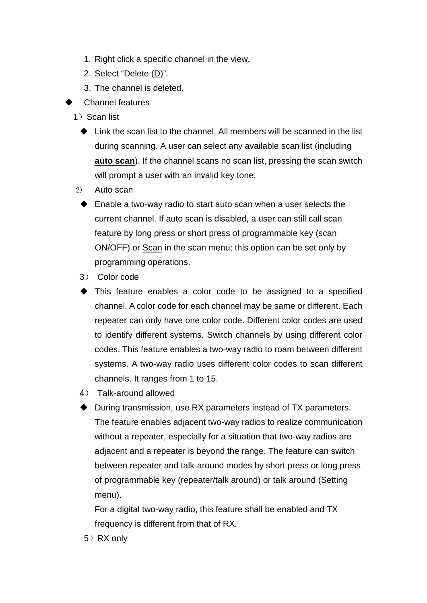- 1. Right click a specific channel in the view.
- 2. Select "Delete (D)".
- 3. The channel is deleted.
- Channel features
- 1) Scan list
	- $\triangle$  Link the scan list to the channel. All members will be scanned in the list during scanning. A user can select any available scan list (including **auto scan**). If the channel scans no scan list, pressing the scan switch will prompt a user with an invalid key tone.
- 2) Auto scan
	- $\blacklozenge$  Enable a two-way radio to start auto scan when a user selects the current channel. If auto scan is disabled, a user can still call scan feature by long press or short press of programmable key (scan ON/OFF) or Scan in the scan menu; this option can be set only by programming operations.
	- 3) Color code
	- $\blacktriangleright$  This feature enables a color code to be assigned to a specified channel. A color code for each channel may be same or different. Each repeater can only have one color code. Different color codes are used to identify different systems. Switch channels by using different color codes. This feature enables a two-way radio to roam between different systems. A two-way radio uses different color codes to scan different channels. It ranges from 1 to 15.
	- 4) Talk-around allowed
	- During transmission, use RX parameters instead of TX parameters. The feature enables adjacent two-way radios to realize communication without a repeater, especially for a situation that two-way radios are adjacent and a repeater is beyond the range. The feature can switch between repeater and talk-around modes by short press or long press of programmable key (repeater/talk around) or talk around (Setting menu).

For a digital two-way radio, this feature shall be enabled and TX frequency is different from that of RX.

5) RX only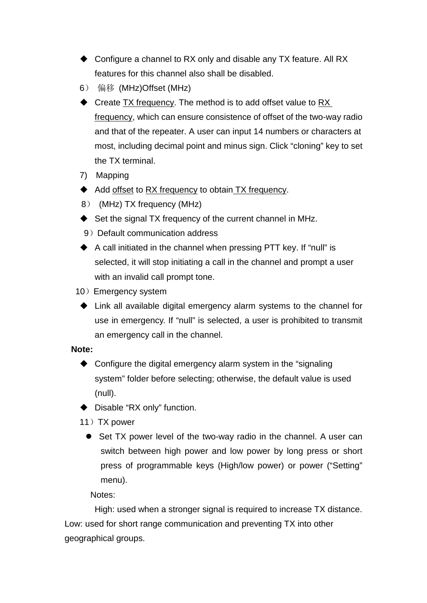- $\triangle$  Configure a channel to RX only and disable any TX feature. All RX features for this channel also shall be disabled.
- 6) 偏移 (MHz)Offset (MHz)
- $\blacklozenge$  Create  $TX$  frequency. The method is to add offset value to  $RX$ frequency, which can ensure consistence of offset of the two-way radio and that of the repeater. A user can input 14 numbers or characters at most, including decimal point and minus sign. Click "cloning" key to set the TX terminal.
- 7) Mapping
- Add offset to RX frequency to obtain TX frequency.
- 8) (MHz) TX frequency (MHz)
- $\blacklozenge$  Set the signal TX frequency of the current channel in MHz.
- 9) Default communication address
- $\triangle$  A call initiated in the channel when pressing PTT key. If "null" is selected, it will stop initiating a call in the channel and prompt a user with an invalid call prompt tone.
- 10) Emergency system
	- $\blacklozenge$  Link all available digital emergency alarm systems to the channel for use in emergency. If "null" is selected, a user is prohibited to transmit an emergency call in the channel.

#### **Note:**

- $\triangle$  Configure the digital emergency alarm system in the "signaling" system" folder before selecting; otherwise, the default value is used (null).
- $\blacklozenge$  Disable "RX only" function.
- 11) TX power
	- Set TX power level of the two-way radio in the channel. A user can switch between high power and low power by long press or short press of programmable keys (High/low power) or power ("Setting" menu).

Notes:

 High: used when a stronger signal is required to increase TX distance. Low: used for short range communication and preventing TX into other geographical groups.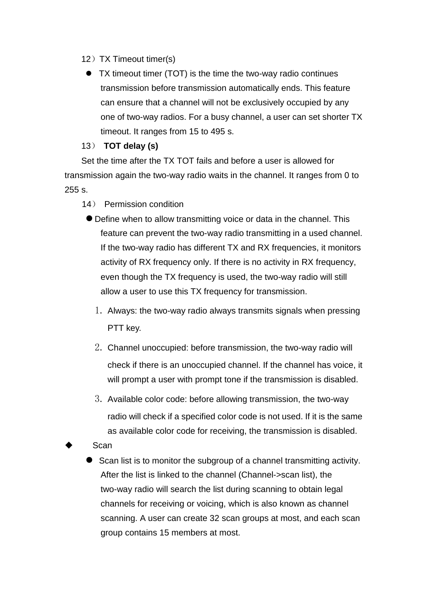- 12) TX Timeout timer(s)
	- TX timeout timer (TOT) is the time the two-way radio continues transmission before transmission automatically ends. This feature can ensure that a channel will not be exclusively occupied by any one of two-way radios. For a busy channel, a user can set shorter TX timeout. It ranges from 15 to 495 s.

# 13) **TOT delay (s)**

Set the time after the TX TOT fails and before a user is allowed for transmission again the two-way radio waits in the channel. It ranges from 0 to 255 s.

- 14) Permission condition
	- l Define when to allow transmitting voice or data in the channel. This feature can prevent the two-way radio transmitting in a used channel. If the two-way radio has different TX and RX frequencies, it monitors activity of RX frequency only. If there is no activity in RX frequency, even though the TX frequency is used, the two-way radio will still allow a user to use this TX frequency for transmission.
		- 1. Always: the two-way radio always transmits signals when pressing PTT key.
		- 2. Channel unoccupied: before transmission, the two-way radio will check if there is an unoccupied channel. If the channel has voice, it will prompt a user with prompt tone if the transmission is disabled.
		- 3. Available color code: before allowing transmission, the two-way radio will check if a specified color code is not used. If it is the same as available color code for receiving, the transmission is disabled.
- Scan
	- Scan list is to monitor the subgroup of a channel transmitting activity. After the list is linked to the channel (Channel->scan list), the two-way radio will search the list during scanning to obtain legal channels for receiving or voicing, which is also known as channel scanning. A user can create 32 scan groups at most, and each scan group contains 15 members at most.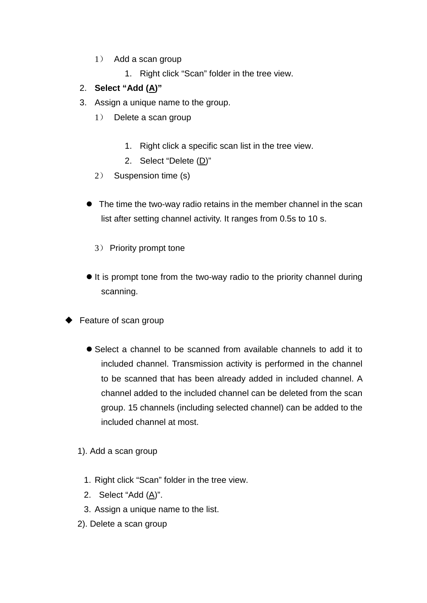- 1) Add a scan group
	- 1. Right click "Scan" folder in the tree view.

# 2. **Select "Add (A)"**

- 3. Assign a unique name to the group.
	- 1) Delete a scan group
		- 1. Right click a specific scan list in the tree view.
		- 2. Select "Delete (D)"
	- 2) Suspension time (s)
	- The time the two-way radio retains in the member channel in the scan list after setting channel activity. It ranges from 0.5s to 10 s.
		- 3) Priority prompt tone
	- $\bullet$  It is prompt tone from the two-way radio to the priority channel during scanning.
- Feature of scan group
	- Select a channel to be scanned from available channels to add it to included channel. Transmission activity is performed in the channel to be scanned that has been already added in included channel. A channel added to the included channel can be deleted from the scan group. 15 channels (including selected channel) can be added to the included channel at most.
	- 1). Add a scan group
		- 1. Right click "Scan" folder in the tree view.
		- 2. Select "Add (A)".
		- 3. Assign a unique name to the list.
	- 2). Delete a scan group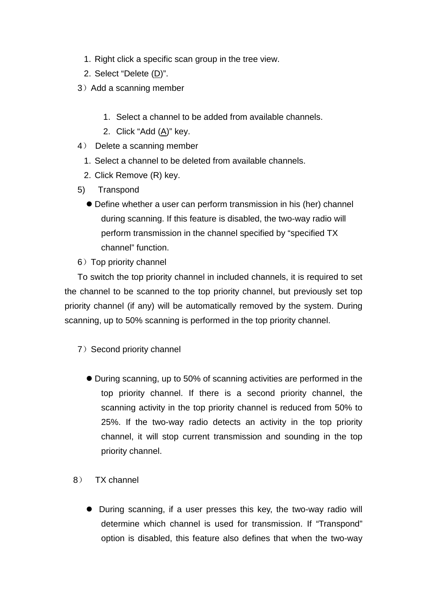- 1. Right click a specific scan group in the tree view.
- 2. Select "Delete (D)".
- 3) Add a scanning member
	- 1. Select a channel to be added from available channels.
	- 2. Click "Add (A)" key.
- 4) Delete a scanning member
	- 1. Select a channel to be deleted from available channels.
	- 2. Click Remove (R) key.
- 5) Transpond
	- l Define whether a user can perform transmission in his (her) channel during scanning. If this feature is disabled, the two-way radio will perform transmission in the channel specified by "specified TX channel" function.
- 6) Top priority channel

 To switch the top priority channel in included channels, it is required to set the channel to be scanned to the top priority channel, but previously set top priority channel (if any) will be automatically removed by the system. During scanning, up to 50% scanning is performed in the top priority channel.

- 7) Second priority channel
	- During scanning, up to 50% of scanning activities are performed in the top priority channel. If there is a second priority channel, the scanning activity in the top priority channel is reduced from 50% to 25%. If the two-way radio detects an activity in the top priority channel, it will stop current transmission and sounding in the top priority channel.
- 8) TX channel
	- During scanning, if a user presses this key, the two-way radio will determine which channel is used for transmission. If "Transpond" option is disabled, this feature also defines that when the two-way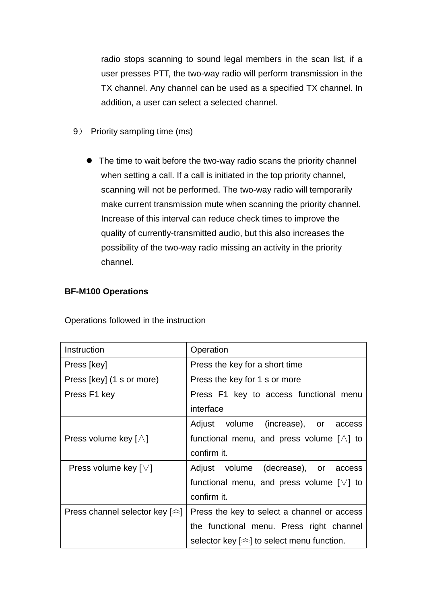radio stops scanning to sound legal members in the scan list, if a user presses PTT, the two-way radio will perform transmission in the TX channel. Any channel can be used as a specified TX channel. In addition, a user can select a selected channel.

- 9) Priority sampling time (ms)
	- The time to wait before the two-way radio scans the priority channel when setting a call. If a call is initiated in the top priority channel, scanning will not be performed. The two-way radio will temporarily make current transmission mute when scanning the priority channel. Increase of this interval can reduce check times to improve the quality of currently-transmitted audio, but this also increases the possibility of the two-way radio missing an activity in the priority channel.

# **BF-M100 Operations**

| Instruction                            | Operation                                           |  |
|----------------------------------------|-----------------------------------------------------|--|
| Press [key]                            | Press the key for a short time                      |  |
| Press [key] (1 s or more)              | Press the key for 1 s or more                       |  |
| Press F1 key                           | Press F1 key to access functional menu              |  |
|                                        | interface                                           |  |
|                                        | Adjust volume (increase),<br>or access              |  |
| Press volume key $[\wedge]$            | functional menu, and press volume $[\wedge]$ to     |  |
|                                        | confirm it.                                         |  |
| Press volume key $\lceil \vee \rceil$  | Adjust volume (decrease), or access                 |  |
|                                        | functional menu, and press volume $[\vee]$ to       |  |
|                                        | confirm it.                                         |  |
| Press channel selector key $[\approx]$ | Press the key to select a channel or access         |  |
|                                        | the functional menu. Press right channel            |  |
|                                        | selector key $[\hat{\gg}]$ to select menu function. |  |

Operations followed in the instruction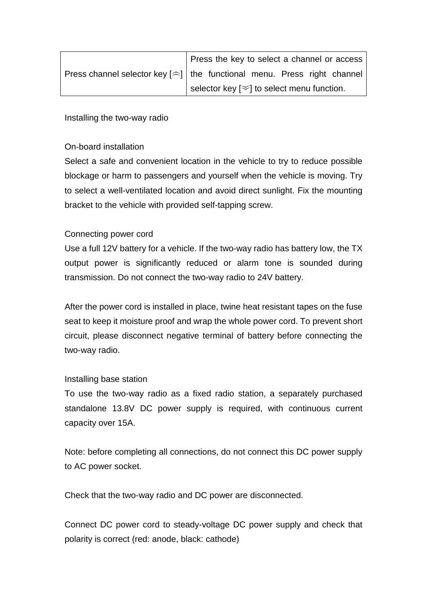|                                                                                    |  | Press the key to select a channel or access    |  |  |
|------------------------------------------------------------------------------------|--|------------------------------------------------|--|--|
| Press channel selector key $[\hat{\sim}]$ the functional menu. Press right channel |  |                                                |  |  |
|                                                                                    |  | selector key $[\leq]$ to select menu function. |  |  |

Installing the two-way radio

# On-board installation

Select a safe and convenient location in the vehicle to try to reduce possible blockage or harm to passengers and yourself when the vehicle is moving. Try to select a well-ventilated location and avoid direct sunlight. Fix the mounting bracket to the vehicle with provided self-tapping screw.

# Connecting power cord

Use a full 12V battery for a vehicle. If the two-way radio has battery low, the TX output power is significantly reduced or alarm tone is sounded during transmission. Do not connect the two-way radio to 24V battery.

After the power cord is installed in place, twine heat resistant tapes on the fuse seat to keep it moisture proof and wrap the whole power cord. To prevent short circuit, please disconnect negative terminal of battery before connecting the two-way radio.

# Installing base station

To use the two-way radio as a fixed radio station, a separately purchased standalone 13.8V DC power supply is required, with continuous current capacity over 15A.

Note: before completing all connections, do not connect this DC power supply to AC power socket.

Check that the two-way radio and DC power are disconnected.

Connect DC power cord to steady-voltage DC power supply and check that polarity is correct (red: anode, black: cathode)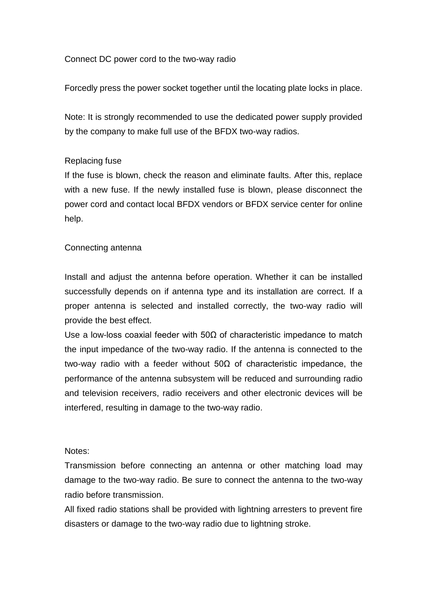Connect DC power cord to the two-way radio

Forcedly press the power socket together until the locating plate locks in place.

Note: It is strongly recommended to use the dedicated power supply provided by the company to make full use of the BFDX two-way radios.

# Replacing fuse

If the fuse is blown, check the reason and eliminate faults. After this, replace with a new fuse. If the newly installed fuse is blown, please disconnect the power cord and contact local BFDX vendors or BFDX service center for online help.

#### Connecting antenna

Install and adjust the antenna before operation. Whether it can be installed successfully depends on if antenna type and its installation are correct. If a proper antenna is selected and installed correctly, the two-way radio will provide the best effect.

Use a low-loss coaxial feeder with  $50\Omega$  of characteristic impedance to match the input impedance of the two-way radio. If the antenna is connected to the two-way radio with a feeder without 50Ω of characteristic impedance, the performance of the antenna subsystem will be reduced and surrounding radio and television receivers, radio receivers and other electronic devices will be interfered, resulting in damage to the two-way radio.

#### Notes:

Transmission before connecting an antenna or other matching load may damage to the two-way radio. Be sure to connect the antenna to the two-way radio before transmission.

All fixed radio stations shall be provided with lightning arresters to prevent fire disasters or damage to the two-way radio due to lightning stroke.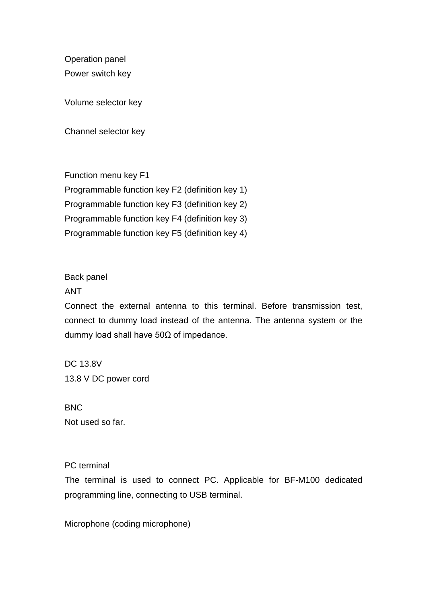Operation panel Power switch key

Volume selector key

Channel selector key

Function menu key F1 Programmable function key F2 (definition key 1) Programmable function key F3 (definition key 2) Programmable function key F4 (definition key 3) Programmable function key F5 (definition key 4)

#### Back panel

#### ANT

Connect the external antenna to this terminal. Before transmission test, connect to dummy load instead of the antenna. The antenna system or the dummy load shall have 50Ω of impedance.

DC 13.8V 13.8 V DC power cord

**BNC** Not used so far.

#### PC terminal

The terminal is used to connect PC. Applicable for BF-M100 dedicated programming line, connecting to USB terminal.

Microphone (coding microphone)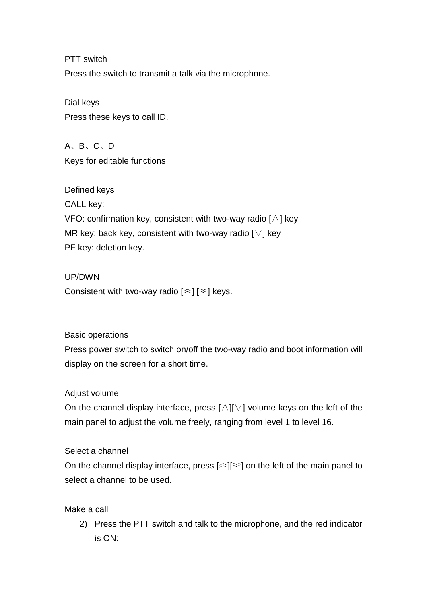PTT switch Press the switch to transmit a talk via the microphone.

Dial keys Press these keys to call ID.

A、B、C、D Keys for editable functions

Defined keys CALL key: VFO: confirmation key, consistent with two-way radio [∧] key MR key: back key, consistent with two-way radio [∨] key PF key: deletion key.

UP/DWN Consistent with two-way radio  $\left[\infty\right]$  keys.

# Basic operations

Press power switch to switch on/off the two-way radio and boot information will display on the screen for a short time.

# Adjust volume

On the channel display interface, press [∧][∨] volume keys on the left of the main panel to adjust the volume freely, ranging from level 1 to level 16.

# Select a channel

On the channel display interface, press  $\lceil \approx \rceil \leq l$  on the left of the main panel to select a channel to be used.

Make a call

2) Press the PTT switch and talk to the microphone, and the red indicator is ON: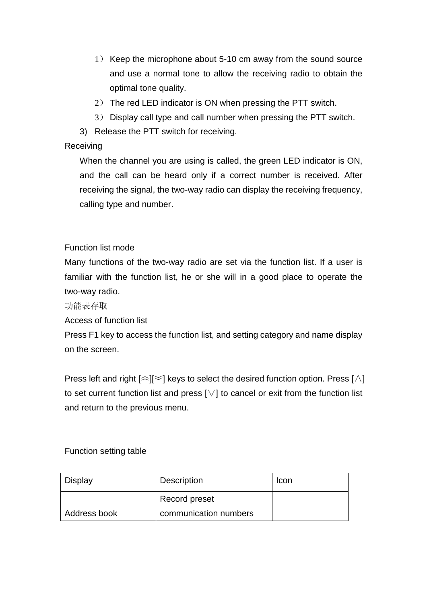- 1) Keep the microphone about 5-10 cm away from the sound source and use a normal tone to allow the receiving radio to obtain the optimal tone quality.
- 2) The red LED indicator is ON when pressing the PTT switch.
- 3) Display call type and call number when pressing the PTT switch.
- 3) Release the PTT switch for receiving.

# Receiving

When the channel you are using is called, the green LED indicator is ON, and the call can be heard only if a correct number is received. After receiving the signal, the two-way radio can display the receiving frequency, calling type and number.

Function list mode

Many functions of the two-way radio are set via the function list. If a user is familiar with the function list, he or she will in a good place to operate the two-way radio.

功能表存取

Access of function list

Press F1 key to access the function list, and setting category and name display on the screen.

Press left and right  $[$   $\approx$   $]$  keys to select the desired function option. Press [ $\wedge$ ] to set current function list and press [∨] to cancel or exit from the function list and return to the previous menu.

# Function setting table

| Display        | Description           | Tcon |
|----------------|-----------------------|------|
|                | Record preset         |      |
| l Address book | communication numbers |      |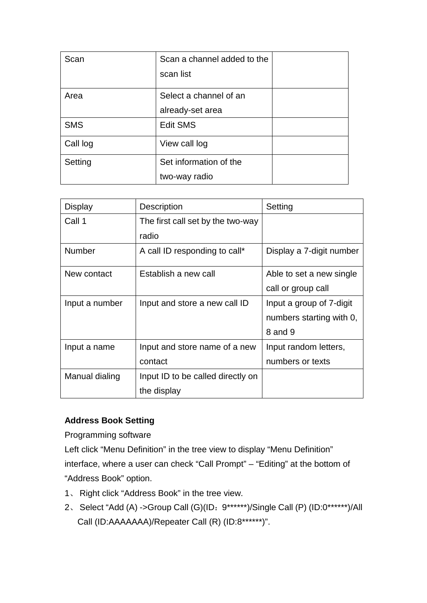| Scan       | Scan a channel added to the |  |
|------------|-----------------------------|--|
|            | scan list                   |  |
| Area       | Select a channel of an      |  |
|            | already-set area            |  |
| <b>SMS</b> | <b>Edit SMS</b>             |  |
| Call log   | View call log               |  |
| Setting    | Set information of the      |  |
|            | two-way radio               |  |

| Display        | <b>Description</b>                | Setting                  |
|----------------|-----------------------------------|--------------------------|
| Call 1         | The first call set by the two-way |                          |
|                | radio                             |                          |
| <b>Number</b>  | A call ID responding to call*     | Display a 7-digit number |
| New contact    | Establish a new call              | Able to set a new single |
|                |                                   | call or group call       |
| Input a number | Input and store a new call ID     | Input a group of 7-digit |
|                |                                   | numbers starting with 0, |
|                |                                   | 8 and 9                  |
| Input a name   | Input and store name of a new     | Input random letters,    |
|                | contact                           | numbers or texts         |
| Manual dialing | Input ID to be called directly on |                          |
|                | the display                       |                          |

# **Address Book Setting**

Programming software

Left click "Menu Definition" in the tree view to display "Menu Definition" interface, where a user can check "Call Prompt" – "Editing" at the bottom of "Address Book" option.

- 1、 Right click "Address Book" in the tree view.
- 2、 Select "Add (A) ->Group Call (G)(ID:9\*\*\*\*\*\*)/Single Call (P) (ID:0\*\*\*\*\*\*)/All Call (ID:AAAAAAA)/Repeater Call (R) (ID:8\*\*\*\*\*\*)".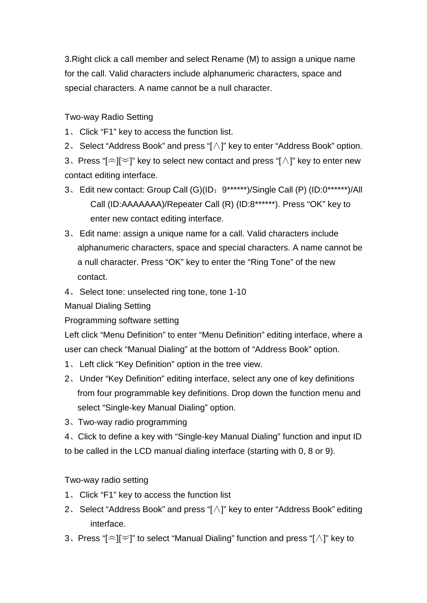3.Right click a call member and select Rename (M) to assign a unique name for the call. Valid characters include alphanumeric characters, space and special characters. A name cannot be a null character.

Two-way Radio Setting

- 1、 Click "F1" key to access the function list.
- 2、 Select "Address Book" and press "[∧]" key to enter "Address Book" option.

3. Press " $\approx$   $\approx$   $\approx$   $\approx$   $\approx$   $\approx$  to select new contact and press " $\land$   $\approx$  key to enter new contact editing interface.

- 3、 Edit new contact: Group Call (G)(ID:9\*\*\*\*\*\*)/Single Call (P) (ID:0\*\*\*\*\*\*)/All Call (ID:AAAAAAA)/Repeater Call (R) (ID:8\*\*\*\*\*\*). Press "OK" key to enter new contact editing interface.
- 3、 Edit name: assign a unique name for a call. Valid characters include alphanumeric characters, space and special characters. A name cannot be a null character. Press "OK" key to enter the "Ring Tone" of the new contact.
- 4、 Select tone: unselected ring tone, tone 1-10

Manual Dialing Setting

Programming software setting

Left click "Menu Definition" to enter "Menu Definition" editing interface, where a user can check "Manual Dialing" at the bottom of "Address Book" option.

- 1、 Left click "Key Definition" option in the tree view.
- 2、 Under "Key Definition" editing interface, select any one of key definitions from four programmable key definitions. Drop down the function menu and select "Single-key Manual Dialing" option.
- 3、Two-way radio programming

4、Click to define a key with "Single-key Manual Dialing" function and input ID to be called in the LCD manual dialing interface (starting with 0, 8 or 9).

Two-way radio setting

- 1、 Click "F1" key to access the function list
- 2、 Select "Address Book" and press "[∧]" key to enter "Address Book" editing interface.
- 3、Press "[︽][︾]" to select "Manual Dialing" function and press "[∧]" key to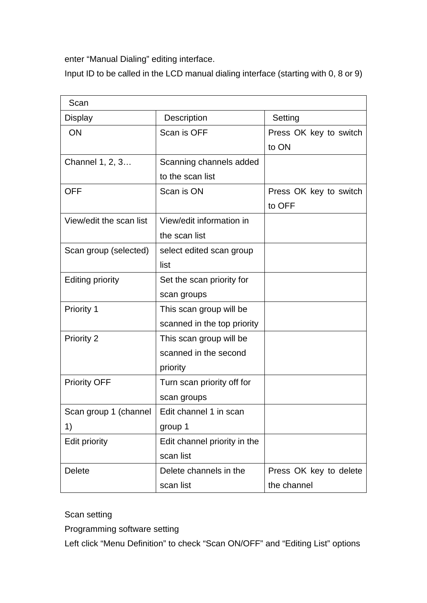enter "Manual Dialing" editing interface.

Input ID to be called in the LCD manual dialing interface (starting with 0, 8 or 9)

| Scan                    |                              |                        |
|-------------------------|------------------------------|------------------------|
| <b>Display</b>          | <b>Description</b>           | Setting                |
| ON                      | Scan is OFF                  | Press OK key to switch |
|                         |                              | to ON                  |
| Channel 1, 2, 3         | Scanning channels added      |                        |
|                         | to the scan list             |                        |
| <b>OFF</b>              | Scan is ON                   | Press OK key to switch |
|                         |                              | to OFF                 |
| View/edit the scan list | View/edit information in     |                        |
|                         | the scan list                |                        |
| Scan group (selected)   | select edited scan group     |                        |
|                         | list                         |                        |
| <b>Editing priority</b> | Set the scan priority for    |                        |
|                         | scan groups                  |                        |
| <b>Priority 1</b>       | This scan group will be      |                        |
|                         | scanned in the top priority  |                        |
| Priority 2              | This scan group will be      |                        |
|                         | scanned in the second        |                        |
|                         | priority                     |                        |
| <b>Priority OFF</b>     | Turn scan priority off for   |                        |
|                         | scan groups                  |                        |
| Scan group 1 (channel   | Edit channel 1 in scan       |                        |
| 1)                      | group 1                      |                        |
| <b>Edit priority</b>    | Edit channel priority in the |                        |
|                         | scan list                    |                        |
| <b>Delete</b>           | Delete channels in the       | Press OK key to delete |
|                         | scan list                    | the channel            |

Scan setting

Programming software setting

Left click "Menu Definition" to check "Scan ON/OFF" and "Editing List" options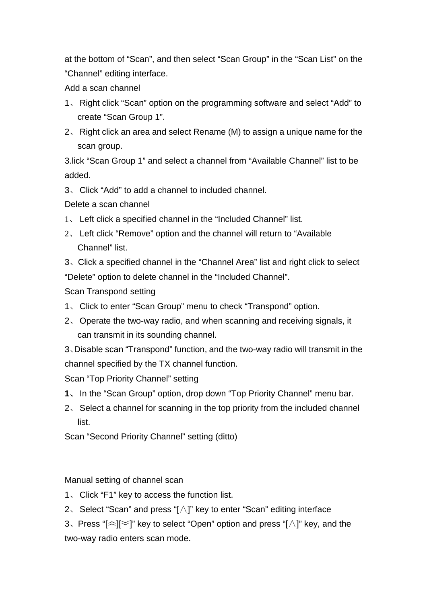at the bottom of "Scan", and then select "Scan Group" in the "Scan List" on the "Channel" editing interface.

Add a scan channel

- 1、 Right click "Scan" option on the programming software and select "Add" to create "Scan Group 1".
- 2、 Right click an area and select Rename (M) to assign a unique name for the scan group.

3.lick "Scan Group 1" and select a channel from "Available Channel" list to be added.

3、 Click "Add" to add a channel to included channel.

Delete a scan channel

- 1、 Left click a specified channel in the "Included Channel" list.
- 2、 Left click "Remove" option and the channel will return to "Available Channel" list.

3、Click a specified channel in the "Channel Area" list and right click to select "Delete" option to delete channel in the "Included Channel".

Scan Transpond setting

- 1、 Click to enter "Scan Group" menu to check "Transpond" option.
- 2、 Operate the two-way radio, and when scanning and receiving signals, it can transmit in its sounding channel.

3、Disable scan "Transpond" function, and the two-way radio will transmit in the channel specified by the TX channel function.

Scan "Top Priority Channel" setting

- **1**、 In the "Scan Group" option, drop down "Top Priority Channel" menu bar.
- 2、 Select a channel for scanning in the top priority from the included channel list.

Scan "Second Priority Channel" setting (ditto)

Manual setting of channel scan

- 1、 Click "F1" key to access the function list.
- 2、 Select "Scan" and press "[∧]" key to enter "Scan" editing interface
- 3. Press " $\approx$ ] $\approx$ ]" key to select "Open" option and press " $\wedge$ ]" key, and the two-way radio enters scan mode.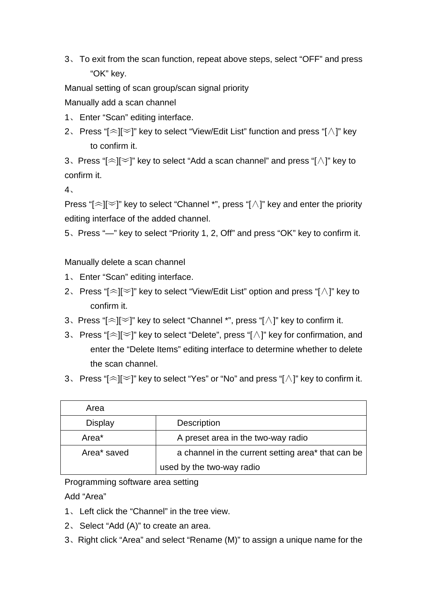3、 To exit from the scan function, repeat above steps, select "OFF" and press "OK" key.

Manual setting of scan group/scan signal priority Manually add a scan channel

- 1、 Enter "Scan" editing interface.
- 2、 Press "[︽][︾]" key to select "View/Edit List" function and press "[∧]" key to confirm it.

3. Press " $\leq$ ] $\leq$ ]" key to select "Add a scan channel" and press " $\wedge$ ]" key to confirm it.

4、

Press "[ $\approx$ ][ $\approx$ ]" key to select "Channel \*", press "[ $\wedge$ ]" key and enter the priority editing interface of the added channel.

5、Press "—" key to select "Priority 1, 2, Off" and press "OK" key to confirm it.

Manually delete a scan channel

- 1、 Enter "Scan" editing interface.
- 2、 Press "[︽][︾]" key to select "View/Edit List" option and press "[∧]" key to confirm it.
- 3、Press "[︽][︾]" key to select "Channel \*", press "[∧]" key to confirm it.
- 3、 Press "[︽][︾]" key to select "Delete", press "[∧]" key for confirmation, and enter the "Delete Items" editing interface to determine whether to delete the scan channel.
- 3. Press "[ $\approx$ ][ $\approx$ ]" key to select "Yes" or "No" and press "[ $\land$ ]" key to confirm it.

| Area              |                                                    |
|-------------------|----------------------------------------------------|
| <b>Display</b>    | <b>Description</b>                                 |
| Area <sup>*</sup> | A preset area in the two-way radio                 |
| Area* saved       | a channel in the current setting area* that can be |
|                   | used by the two-way radio                          |

Programming software area setting

Add "Area"

- 1、 Left click the "Channel" in the tree view.
- 2、 Select "Add (A)" to create an area.
- 3、Right click "Area" and select "Rename (M)" to assign a unique name for the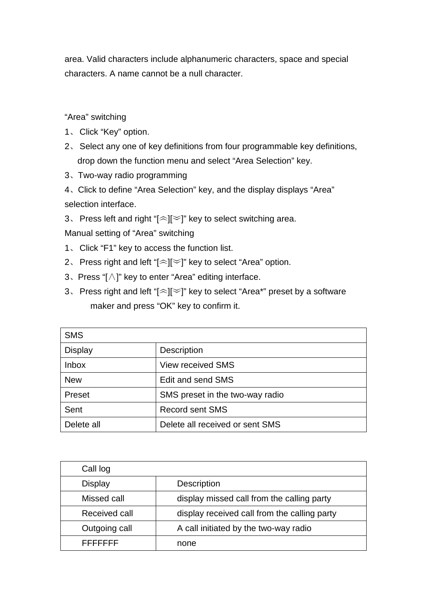area. Valid characters include alphanumeric characters, space and special characters. A name cannot be a null character.

"Area" switching

- 1、 Click "Key" option.
- 2、 Select any one of key definitions from four programmable key definitions, drop down the function menu and select "Area Selection" key.
- 3、Two-way radio programming

4、Click to define "Area Selection" key, and the display displays "Area" selection interface.

3. Press left and right " $[\approx]$ " key to select switching area.

Manual setting of "Area" switching

- 1、 Click "F1" key to access the function list.
- 2. Press right and left " $\approx$ ] $\approx$ ]" key to select "Area" option.
- 3、Press "[∧]" key to enter "Area" editing interface.
- 3. Press right and left "[ $\approx$ ][ $\approx$ ]" key to select "Area\*" preset by a software maker and press "OK" key to confirm it.

| <b>SMS</b>     |                                 |
|----------------|---------------------------------|
| <b>Display</b> | Description                     |
| <b>Inbox</b>   | <b>View received SMS</b>        |
| <b>New</b>     | Edit and send SMS               |
| Preset         | SMS preset in the two-way radio |
| Sent           | <b>Record sent SMS</b>          |
| Delete all     | Delete all received or sent SMS |

| Call log      |                                              |
|---------------|----------------------------------------------|
| Display       | <b>Description</b>                           |
| Missed call   | display missed call from the calling party   |
| Received call | display received call from the calling party |
| Outgoing call | A call initiated by the two-way radio        |
| トトトトトトト       | none                                         |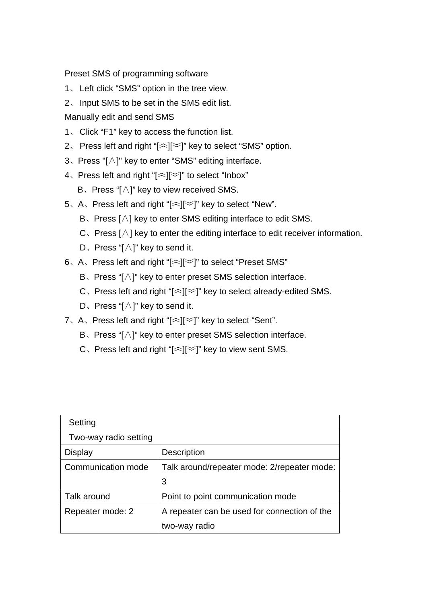Preset SMS of programming software

- 1、 Left click "SMS" option in the tree view.
- 2、 Input SMS to be set in the SMS edit list.

Manually edit and send SMS

- 1、 Click "F1" key to access the function list.
- 2. Press left and right " $\approx$ ] $\approx$ ]" key to select "SMS" option.
- 3、Press "[∧]" key to enter "SMS" editing interface.
- 4. Press left and right "[ $\approx$ ] $\approx$ ]" to select "Inbox"
	- B、Press "[∧]" key to view received SMS.
- 5、A、Press left and right "[︽][︾]" key to select "New".
	- B、Press [∧] key to enter SMS editing interface to edit SMS.
	- C、Press [∧] key to enter the editing interface to edit receiver information.
	- D、Press "[∧]" key to send it.
- 6、A、Press left and right "[︽][︾]" to select "Preset SMS"
	- B、Press "[∧]" key to enter preset SMS selection interface.
	- C. Press left and right "[ $\approx$ ][ $\approx$ ]" key to select already-edited SMS.
	- D、Press "[∧]" key to send it.
- 7、A、Press left and right "[ $\approx$ ][ $\approx$ ]" key to select "Sent".
	- B、Press "[∧]" key to enter preset SMS selection interface.
	- C. Press left and right " $\leq$ | $\leq$ ]" key to view sent SMS.

| Setting               |                                              |
|-----------------------|----------------------------------------------|
| Two-way radio setting |                                              |
| Display               | <b>Description</b>                           |
| Communication mode    | Talk around/repeater mode: 2/repeater mode:  |
|                       | 3                                            |
| Talk around           | Point to point communication mode            |
| Repeater mode: 2      | A repeater can be used for connection of the |
|                       | two-way radio                                |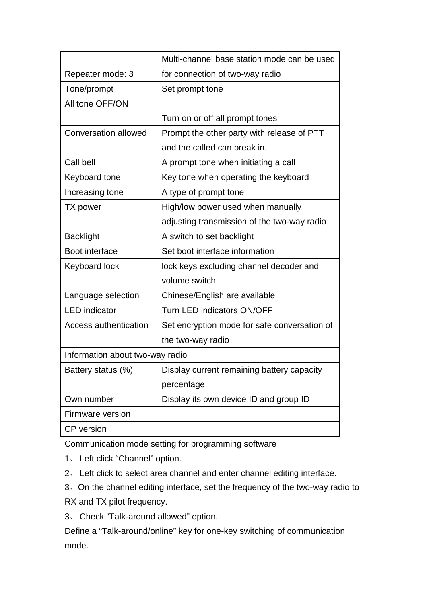|                                 | Multi-channel base station mode can be used  |
|---------------------------------|----------------------------------------------|
| Repeater mode: 3                | for connection of two-way radio              |
| Tone/prompt                     | Set prompt tone                              |
| All tone OFF/ON                 |                                              |
|                                 | Turn on or off all prompt tones              |
| <b>Conversation allowed</b>     | Prompt the other party with release of PTT   |
|                                 | and the called can break in.                 |
| Call bell                       | A prompt tone when initiating a call         |
| Keyboard tone                   | Key tone when operating the keyboard         |
| Increasing tone                 | A type of prompt tone                        |
| TX power                        | High/low power used when manually            |
|                                 | adjusting transmission of the two-way radio  |
| <b>Backlight</b>                | A switch to set backlight                    |
| Boot interface                  | Set boot interface information               |
| <b>Keyboard lock</b>            | lock keys excluding channel decoder and      |
|                                 | volume switch                                |
| Language selection              | Chinese/English are available                |
| <b>LED</b> indicator            | Turn LED indicators ON/OFF                   |
| Access authentication           | Set encryption mode for safe conversation of |
|                                 | the two-way radio                            |
| Information about two-way radio |                                              |
| Battery status (%)              | Display current remaining battery capacity   |
|                                 | percentage.                                  |
| Own number                      | Display its own device ID and group ID       |
| Firmware version                |                                              |
| <b>CP</b> version               |                                              |

Communication mode setting for programming software

- 1、 Left click "Channel" option.
- 2、 Left click to select area channel and enter channel editing interface.
- 3、On the channel editing interface, set the frequency of the two-way radio to

RX and TX pilot frequency.

3、 Check "Talk-around allowed" option.

Define a "Talk-around/online" key for one-key switching of communication mode.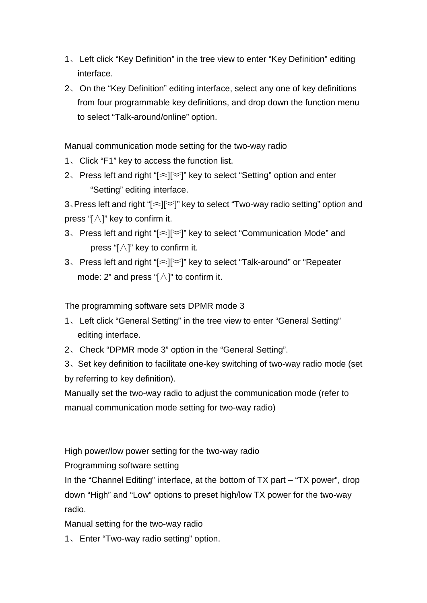- 1、 Left click "Key Definition" in the tree view to enter "Key Definition" editing interface.
- 2、 On the "Key Definition" editing interface, select any one of key definitions from four programmable key definitions, and drop down the function menu to select "Talk-around/online" option.

Manual communication mode setting for the two-way radio

- 1、 Click "F1" key to access the function list.
- 2. Press left and right " $\approx$ ] $\approx$ ]" key to select "Setting" option and enter "Setting" editing interface.

3、Press left and right "[︽][︾]" key to select "Two-way radio setting" option and press " $\left[\wedge\right]$ " key to confirm it.

- 3、 Press left and right "[︽][︾]" key to select "Communication Mode" and press "[∧]" key to confirm it.
- 3、 Press left and right "[︽][︾]" key to select "Talk-around" or "Repeater mode: 2" and press " $\left[\wedge\right]$ " to confirm it.

The programming software sets DPMR mode 3

- 1、 Left click "General Setting" in the tree view to enter "General Setting" editing interface.
- 2、 Check "DPMR mode 3" option in the "General Setting".

3、Set key definition to facilitate one-key switching of two-way radio mode (set by referring to key definition).

Manually set the two-way radio to adjust the communication mode (refer to manual communication mode setting for two-way radio)

High power/low power setting for the two-way radio

Programming software setting

In the "Channel Editing" interface, at the bottom of TX part – "TX power", drop down "High" and "Low" options to preset high/low TX power for the two-way radio.

Manual setting for the two-way radio

1、 Enter "Two-way radio setting" option.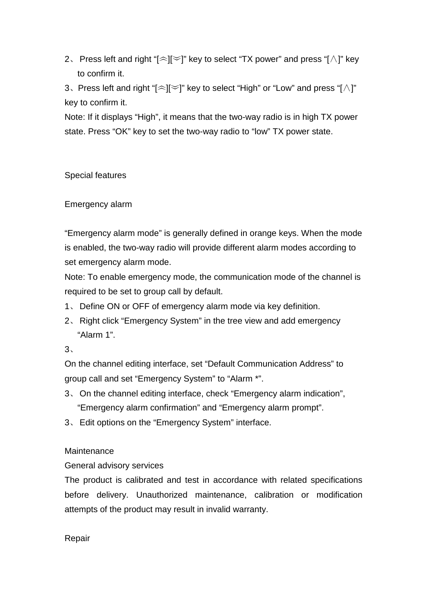2. Press left and right " $\leq$ ] $\leq$ ]" key to select "TX power" and press "[ $\wedge$ ]" key to confirm it.

3. Press left and right " $\leq$ ] $\leq$ ]" key to select "High" or "Low" and press " $\wedge$ ]" key to confirm it.

Note: If it displays "High", it means that the two-way radio is in high TX power state. Press "OK" key to set the two-way radio to "low" TX power state.

Special features

Emergency alarm

"Emergency alarm mode" is generally defined in orange keys. When the mode is enabled, the two-way radio will provide different alarm modes according to set emergency alarm mode.

Note: To enable emergency mode, the communication mode of the channel is required to be set to group call by default.

- 1、 Define ON or OFF of emergency alarm mode via key definition.
- 2、 Right click "Emergency System" in the tree view and add emergency "Alarm 1".

3、

On the channel editing interface, set "Default Communication Address" to group call and set "Emergency System" to "Alarm \*".

- 3、 On the channel editing interface, check "Emergency alarm indication", "Emergency alarm confirmation" and "Emergency alarm prompt".
- 3、 Edit options on the "Emergency System" interface.

# **Maintenance**

General advisory services

The product is calibrated and test in accordance with related specifications before delivery. Unauthorized maintenance, calibration or modification attempts of the product may result in invalid warranty.

Repair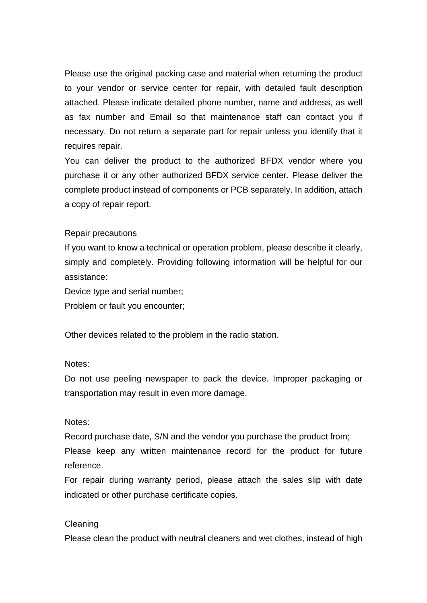Please use the original packing case and material when returning the product to your vendor or service center for repair, with detailed fault description attached. Please indicate detailed phone number, name and address, as well as fax number and Email so that maintenance staff can contact you if necessary. Do not return a separate part for repair unless you identify that it requires repair.

You can deliver the product to the authorized BFDX vendor where you purchase it or any other authorized BFDX service center. Please deliver the complete product instead of components or PCB separately. In addition, attach a copy of repair report.

#### Repair precautions

If you want to know a technical or operation problem, please describe it clearly, simply and completely. Providing following information will be helpful for our assistance:

Device type and serial number;

Problem or fault you encounter;

Other devices related to the problem in the radio station.

#### Notes:

Do not use peeling newspaper to pack the device. Improper packaging or transportation may result in even more damage.

#### Notes:

Record purchase date, S/N and the vendor you purchase the product from;

Please keep any written maintenance record for the product for future reference.

For repair during warranty period, please attach the sales slip with date indicated or other purchase certificate copies.

#### Cleaning

Please clean the product with neutral cleaners and wet clothes, instead of high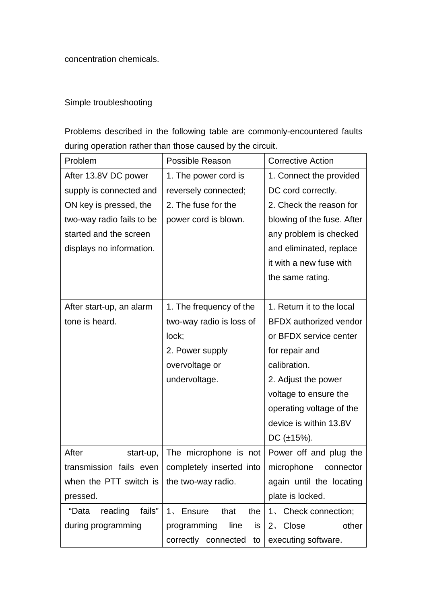concentration chemicals.

# Simple troubleshooting

Problems described in the following table are commonly-encountered faults during operation rather than those caused by the circuit.

| Problem                    | Possible Reason           | <b>Corrective Action</b>      |
|----------------------------|---------------------------|-------------------------------|
| After 13.8V DC power       | 1. The power cord is      | 1. Connect the provided       |
| supply is connected and    | reversely connected;      | DC cord correctly.            |
| ON key is pressed, the     | 2. The fuse for the       | 2. Check the reason for       |
| two-way radio fails to be  | power cord is blown.      | blowing of the fuse. After    |
| started and the screen     |                           | any problem is checked        |
| displays no information.   |                           | and eliminated, replace       |
|                            |                           | it with a new fuse with       |
|                            |                           | the same rating.              |
|                            |                           |                               |
| After start-up, an alarm   | 1. The frequency of the   | 1. Return it to the local     |
| tone is heard.             | two-way radio is loss of  | <b>BFDX</b> authorized vendor |
|                            | lock;                     | or BFDX service center        |
|                            | 2. Power supply           | for repair and                |
|                            | overvoltage or            | calibration.                  |
|                            | undervoltage.             | 2. Adjust the power           |
|                            |                           | voltage to ensure the         |
|                            |                           | operating voltage of the      |
|                            |                           | device is within 13.8V        |
|                            |                           | DC $(\pm 15\%)$ .             |
| After<br>start-up,         | The microphone is not     | Power off and plug the        |
| transmission fails even    | completely inserted into  | microphone<br>connector       |
| when the PTT switch is $ $ | the two-way radio.        | again until the locating      |
| pressed.                   |                           | plate is locked.              |
| "Data<br>reading<br>fails" | 1、Ensure<br>that<br>the   | 1. Check connection;          |
| during programming         | line<br>programming<br>is | 2、Close<br>other              |
|                            | correctly connected to    | executing software.           |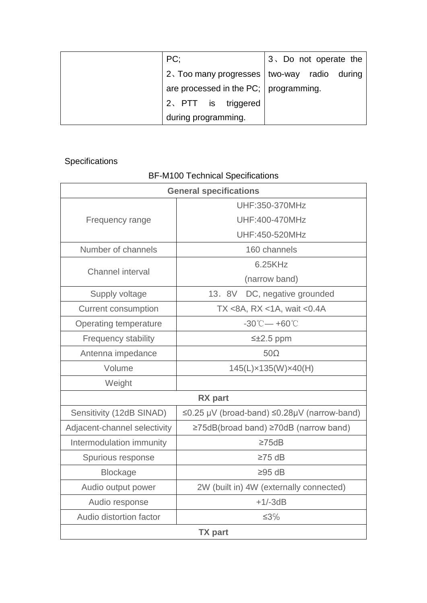| PC:                                           | 3. Do not operate the |
|-----------------------------------------------|-----------------------|
| 2. Too many progresses   two-way radio during |                       |
| are processed in the PC;   programming.       |                       |
| 2. PTT is triggered                           |                       |
| during programming.                           |                       |

# **Specifications**

# BF-M100 Technical Specifications

| <b>General specifications</b> |                                                   |  |
|-------------------------------|---------------------------------------------------|--|
| Frequency range               | UHF:350-370MHz                                    |  |
|                               | <b>UHF:400-470MHz</b>                             |  |
|                               | UHF:450-520MHz                                    |  |
| Number of channels            | 160 channels                                      |  |
| Channel interval              | 6.25KHz                                           |  |
|                               | (narrow band)                                     |  |
| Supply voltage                | 13. 8V<br>DC, negative grounded                   |  |
| <b>Current consumption</b>    | TX <8A, RX <1A, wait <0.4A                        |  |
| <b>Operating temperature</b>  | $-30^{\circ}$ C $-$ +60 $^{\circ}$ C              |  |
| Frequency stability           | $\leq \pm 2.5$ ppm                                |  |
| Antenna impedance             | $50\Omega$                                        |  |
| Volume                        | 145(L)×135(W)×40(H)                               |  |
| Weight                        |                                                   |  |
|                               | <b>RX</b> part                                    |  |
| Sensitivity (12dB SINAD)      | ≤0.25 µV (broad-band) ≤0.28µV (narrow-band)       |  |
| Adjacent-channel selectivity  | $\geq$ 75dB(broad band) $\geq$ 70dB (narrow band) |  |
| Intermodulation immunity      | $\geq$ 75dB                                       |  |
| Spurious response             | $\geq 75$ dB                                      |  |
| <b>Blockage</b>               | $≥95$ dB                                          |  |
| Audio output power            | 2W (built in) 4W (externally connected)           |  |
| Audio response                | $+1/-3dB$                                         |  |
| Audio distortion factor       | $≤3%$                                             |  |
| <b>TX</b> part                |                                                   |  |